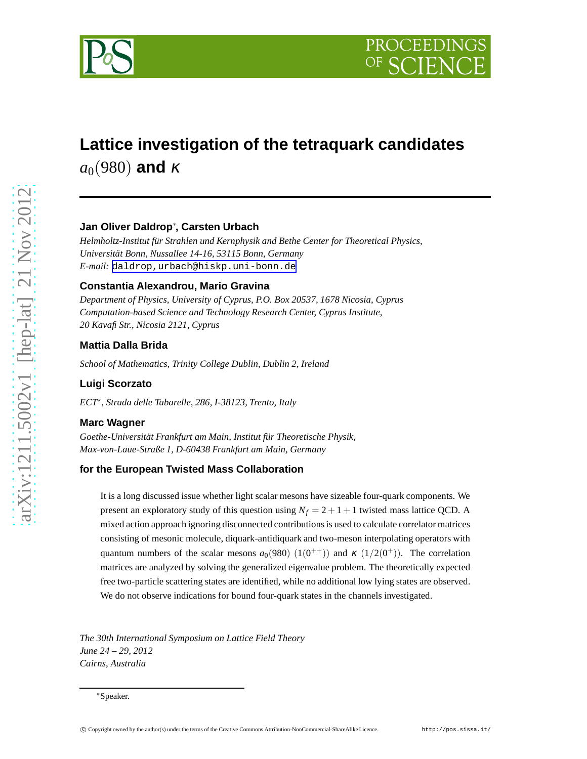

# **Lattice investigation of the tetraquark candidates**  $a_0$ (980) **and** κ

# **Jan Oliver Daldrop**<sup>∗</sup> **, Carsten Urbach**

*Helmholtz-Institut für Strahlen und Kernphysik and Bethe Center for Theoretical Physics, Universität Bonn, Nussallee 14-16, 53115 Bonn, Germany E-mail:* [daldrop,urbach@hiskp.uni-bonn.de](mailto:daldrop,urbach@hiskp.uni-bonn.de)

## **Constantia Alexandrou, Mario Gravina**

*Department of Physics, University of Cyprus, P.O. Box 20537, 1678 Nicosia, Cyprus Computation-based Science and Technology Research Center, Cyprus Institute, 20 Kavafi Str., Nicosia 2121, Cyprus*

## **Mattia Dalla Brida**

*School of Mathematics, Trinity College Dublin, Dublin 2, Ireland*

# **Luigi Scorzato**

*ECT*<sup>⋆</sup> *, Strada delle Tabarelle, 286, I-38123, Trento, Italy*

#### **Marc Wagner**

*Goethe-Universität Frankfurt am Main, Institut für Theoretische Physik, Max-von-Laue-Straße 1, D-60438 Frankfurt am Main, Germany*

## **for the European Twisted Mass Collaboration**

It is a long discussed issue whether light scalar mesons have sizeable four-quark components. We present an exploratory study of this question using  $N_f = 2 + 1 + 1$  twisted mass lattice QCD. A mixed action approach ignoring disconnected contributions is used to calculate correlator matrices consisting of mesonic molecule, diquark-antidiquark and two-meson interpolating operators with quantum numbers of the scalar mesons  $a_0(980)$   $(1(0^{++}))$  and  $\kappa$   $(1/2(0^+))$ . The correlation matrices are analyzed by solving the generalized eigenvalue problem. The theoretically expected free two-particle scattering states are identified, while no additional low lying states are observed. We do not observe indications for bound four-quark states in the channels investigated.

*The 30th International Symposium on Lattice Field Theory June 24 – 29, 2012 Cairns, Australia*

<sup>∗</sup>Speaker.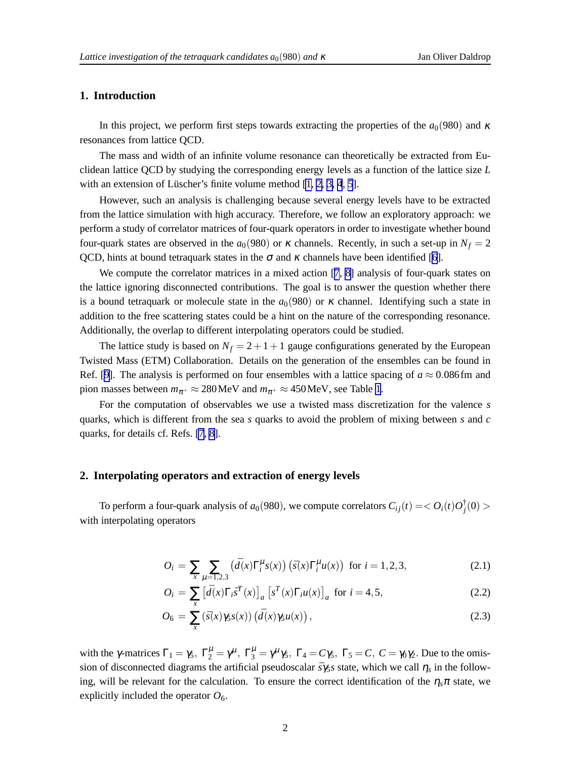# <span id="page-1-0"></span>**1. Introduction**

In this project, we perform first steps towards extracting the properties of the  $a_0(980)$  and  $\kappa$ resonances from lattice QCD.

The mass and width of an infinite volume resonance can theoretically be extracted from Euclidean lattice QCD by studying the corresponding energy levels as a function of the lattice size *L* with an extension of Lüscher's finite volume method  $[1, 2, 3, 4, 5]$  $[1, 2, 3, 4, 5]$  $[1, 2, 3, 4, 5]$  $[1, 2, 3, 4, 5]$ .

However, such an analysis is challenging because several energy levels have to be extracted from the lattice simulation with high accuracy. Therefore, we follow an exploratory approach: we perform a study of correlator matrices of four-quark operators in order to investigate whether bound four-quark states are observed in the  $a_0(980)$  or  $\kappa$  channels. Recently, in such a set-up in  $N_f = 2$ QCD, hints at bound tetraquark states in the  $\sigma$  and  $\kappa$  channels have been identified [[6](#page-6-0)].

We compute the correlator matrices in a mixed action [[7](#page-6-0), [8\]](#page-6-0) analysis of four-quark states on the lattice ignoring disconnected contributions. The goal is to answer the question whether there is a bound tetraquark or molecule state in the  $a<sub>0</sub>(980)$  or  $\kappa$  channel. Identifying such a state in addition to the free scattering states could be a hint on the nature of the corresponding resonance. Additionally, the overlap to different interpolating operators could be studied.

The lattice study is based on  $N_f = 2 + 1 + 1$  gauge configurations generated by the European Twisted Mass (ETM) Collaboration. Details on the generation of the ensembles can be found in Ref. [[9\]](#page-6-0). The analysis is performed on four ensembles with a lattice spacing of  $a \approx 0.086$  fm and pion masses between  $m_{\pi^+} \approx 280 \text{MeV}$  and  $m_{\pi^+} \approx 450 \text{MeV}$ , see Table [1](#page-2-0).

For the computation of observables we use a twisted mass discretization for the valence *s* quarks, which is different from the sea *s* quarks to avoid the problem of mixing between *s* and *c* quarks, for details cf. Refs. [\[7, 8\]](#page-6-0).

#### **2. Interpolating operators and extraction of energy levels**

To perform a four-quark analysis of  $a_0(980)$ , we compute correlators  $C_{ij}(t) = < O_i(t)O_j^{\dagger}$  $j^{\mathsf{T}}(0) >$ with interpolating operators

$$
O_i = \sum_{x} \sum_{\mu=1,2,3} \left( \bar{d}(x) \Gamma_i^{\mu} s(x) \right) \left( \bar{s}(x) \Gamma_i^{\mu} u(x) \right) \text{ for } i = 1,2,3,
$$
 (2.1)

$$
O_i = \sum_{x} \left[ \bar{d}(x) \Gamma_i \bar{s}^T(x) \right]_a \left[ s^T(x) \Gamma_i u(x) \right]_a \text{ for } i = 4, 5,
$$
 (2.2)

$$
O_6 = \sum_{x} \left( \bar{s}(x) \gamma_5 s(x) \right) \left( \bar{d}(x) \gamma_5 u(x) \right), \tag{2.3}
$$

with the γ-matrices  $\Gamma_1 = \gamma_5$ ,  $\Gamma_2^{\mu} = \gamma^{\mu}$ ,  $\Gamma_3^{\mu} = \gamma^{\mu} \gamma_5$ ,  $\Gamma_4 = C\gamma_5$ ,  $\Gamma_5 = C$ ,  $C = \gamma_0 \gamma_2$ . Due to the omission of disconnected diagrams the artificial pseudoscalar *sγ*<sub>5</sub>*s* state, which we call  $η_s$  in the following, will be relevant for the calculation. To ensure the correct identification of the  $\eta_s \pi$  state, we explicitly included the operator  $O_6$ .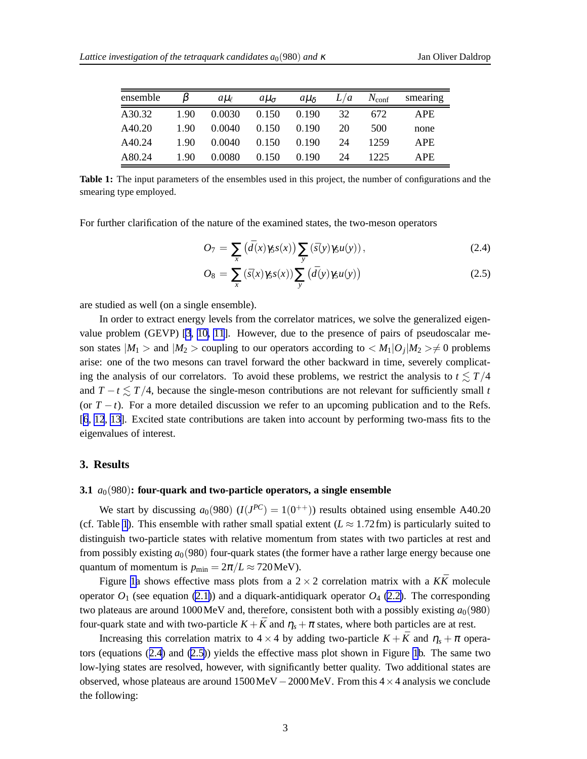<span id="page-2-0"></span>

| ensemble |      | all    | $a\mu_{\sigma}$ | $a\mu_{\delta}$ | L/a | $N_{\text{conf}}$ | smearing   |
|----------|------|--------|-----------------|-----------------|-----|-------------------|------------|
| A30.32   | 1.90 | 0.0030 | 0.150           | 0.190           | 32  | 672               | <b>APE</b> |
| A40.20   | 1.90 | 0.0040 | 0.150           | 0.190           | 20  | 500               | none       |
| A40.24   | 1.90 | 0.0040 | 0.150           | 0.190           | 24  | 1259              | <b>APE</b> |
| A80.24   | 1.90 | 0.0080 | 0.150           | 0.190           | 24  | 1225              | APE.       |

**Table 1:** The input parameters of the ensembles used in this project, the number of configurations and the smearing type employed.

For further clarification of the nature of the examined states, the two-meson operators

$$
O_7 = \sum_{x} \left( \bar{d}(x) \gamma_5 s(x) \right) \sum_{y} \left( \bar{s}(y) \gamma_5 u(y) \right), \tag{2.4}
$$

$$
O_8 = \sum_{x} (\bar{s}(x)\gamma_5 s(x)) \sum_{y} (d(y)\gamma_5 u(y))
$$
\n(2.5)

are studied as well (on a single ensemble).

In order to extract energy levels from the correlator matrices, we solve the generalized eigenvalue problem (GEVP) [[3](#page-6-0), [10, 11](#page-6-0)]. However, due to the presence of pairs of pseudoscalar meson states  $|M_1| >$  and  $|M_2| >$  coupling to our operators according to  $|M_1|O_j|M_2| > \neq 0$  problems arise: one of the two mesons can travel forward the other backward in time, severely complicating the analysis of our correlators. To avoid these problems, we restrict the analysis to  $t \leq T/4$ and  $T - t \leq T/4$ , because the single-meson contributions are not relevant for sufficiently small *t* (or  $T - t$ ). For a more detailed discussion we refer to an upcoming publication and to the Refs. [[6](#page-6-0), [12](#page-6-0), [13](#page-6-0)]. Excited state contributions are taken into account by performing two-mass fits to the eigenvalues of interest.

#### **3. Results**

#### **3.1** *a*<sub>0</sub>(980): four-quark and two-particle operators, a single ensemble

We start by discussing  $a_0(980)$   $(I(J^{PC}) = 1(0^{++}))$  results obtained using ensemble A40.20 (cf. Table 1). This ensemble with rather small spatial extent ( $L \approx 1.72$  fm) is particularly suited to distinguish two-particle states with relative momentum from states with two particles at rest and from possibly existing  $a_0(980)$  four-quark states (the former have a rather large energy because one quantum of momentum is  $p_{\text{min}} = 2\pi/L \approx 720 \text{MeV}$ .

Figure [1a](#page-3-0) shows effective mass plots from a  $2 \times 2$  correlation matrix with a  $K\bar{K}$  molecule operator  $O_1$  (see equation [\(2.1\)](#page-1-0)) and a diquark-antidiquark operator  $O_4$  [\(2.2\)](#page-1-0). The corresponding two plateaus are around  $1000 \,\text{MeV}$  and, therefore, consistent both with a possibly existing  $a_0(980)$ four-quark state and with two-particle  $K + \bar{K}$  and  $\eta_s + \pi$  states, where both particles are at rest.

Increasing this correlation matrix to  $4 \times 4$  by adding two-particle  $K + \bar{K}$  and  $\eta_s + \pi$  operators (equations (2.4) and (2.5)) yields the effective mass plot shown in Figure [1](#page-3-0)b. The same two low-lying states are resolved, however, with significantly better quality. Two additional states are observed, whose plateaus are around  $1500 \text{MeV} - 2000 \text{MeV}$ . From this  $4 \times 4$  analysis we conclude the following: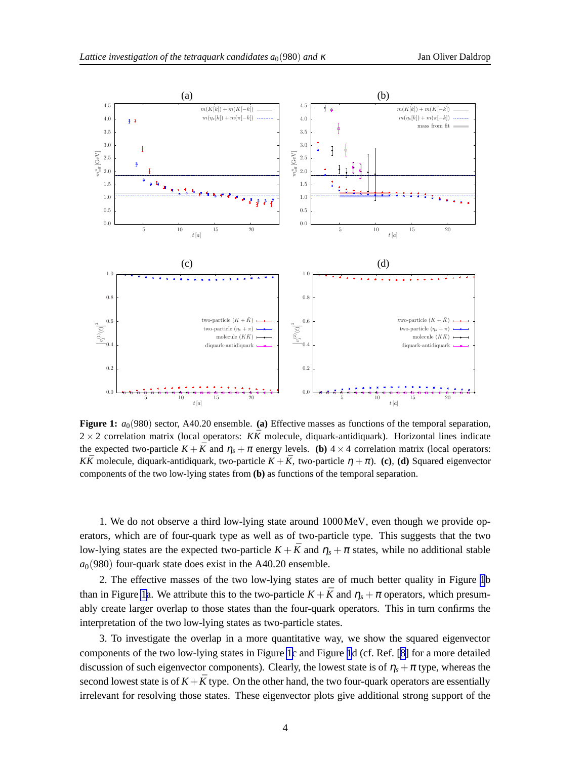<span id="page-3-0"></span>

**Figure 1:**  $a_0(980)$  sector, A40.20 ensemble. (a) Effective masses as functions of the temporal separation,  $2 \times 2$  correlation matrix (local operators: *KK* molecule, diquark-antidiquark). Horizontal lines indicate the expected two-particle  $K + \bar{K}$  and  $\eta_s + \pi$  energy levels. **(b)**  $4 \times 4$  correlation matrix (local operators: *KK*<sup> $\overline{K}$  molecule, diquark-antidiquark, two-particle  $K + \overline{K}$ , two-particle  $\eta + \pi$ ). **(c)**, **(d)** Squared eigenvector</sup> components of the two low-lying states from **(b)** as functions of the temporal separation.

1. We do not observe a third low-lying state around 1000MeV, even though we provide operators, which are of four-quark type as well as of two-particle type. This suggests that the two low-lying states are the expected two-particle  $K + \bar{K}$  and  $\eta_s + \pi$  states, while no additional stable  $a<sub>0</sub>(980)$  four-quark state does exist in the A40.20 ensemble.

2. The effective masses of the two low-lying states are of much better quality in Figure 1b than in Figure 1a. We attribute this to the two-particle  $K + \bar{K}$  and  $\eta_s + \pi$  operators, which presumably create larger overlap to those states than the four-quark operators. This in turn confirms the interpretation of the two low-lying states as two-particle states.

3. To investigate the overlap in a more quantitative way, we show the squared eigenvector components of the two low-lying states in Figure 1c and Figure 1d (cf. Ref. [[8](#page-6-0)] for a more detailed discussion of such eigenvector components). Clearly, the lowest state is of  $\eta_s + \pi$  type, whereas the second lowest state is of  $K + \bar{K}$  type. On the other hand, the two four-quark operators are essentially irrelevant for resolving those states. These eigenvector plots give additional strong support of the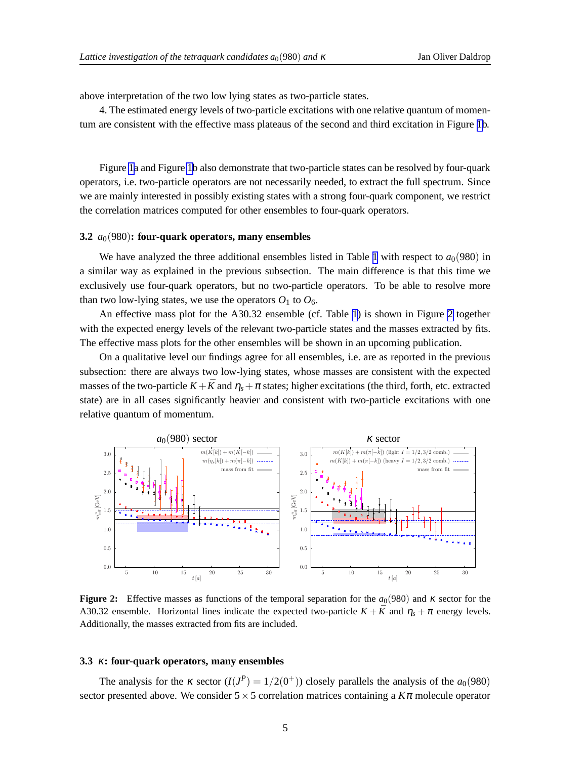<span id="page-4-0"></span>above interpretation of the two low lying states as two-particle states.

4. The estimated energy levels of two-particle excitations with one relative quantum of momentum are consistent with the effective mass plateaus of the second and third excitation in Figure [1b](#page-3-0).

Figure [1a](#page-3-0) and Figure [1b](#page-3-0) also demonstrate that two-particle states can be resolved by four-quark operators, i.e. two-particle operators are not necessarily needed, to extract the full spectrum. Since we are mainly interested in possibly existing states with a strong four-quark component, we restrict the correlation matrices computed for other ensembles to four-quark operators.

#### **3.2**  $a_0(980)$ : four-quark operators, many ensembles

We have analyzed the three additional ensembles listed in Table [1](#page-2-0) with respect to  $a_0(980)$  in a similar way as explained in the previous subsection. The main difference is that this time we exclusively use four-quark operators, but no two-particle operators. To be able to resolve more than two low-lying states, we use the operators  $O_1$  to  $O_6$ .

An effective mass plot for the A30.32 ensemble (cf. Table [1](#page-2-0)) is shown in Figure 2 together with the expected energy levels of the relevant two-particle states and the masses extracted by fits. The effective mass plots for the other ensembles will be shown in an upcoming publication.

On a qualitative level our findings agree for all ensembles, i.e. are as reported in the previous subsection: there are always two low-lying states, whose masses are consistent with the expected masses of the two-particle  $K+\bar{K}$  and  $\eta_s+\pi$  states; higher excitations (the third, forth, etc. extracted state) are in all cases significantly heavier and consistent with two-particle excitations with one relative quantum of momentum.



**Figure 2:** Effective masses as functions of the temporal separation for the  $a_0(980)$  and  $\kappa$  sector for the A30.32 ensemble. Horizontal lines indicate the expected two-particle  $K + \bar{K}$  and  $\eta_s + \pi$  energy levels. Additionally, the masses extracted from fits are included.

#### **3.3** <sup>κ</sup>**: four-quark operators, many ensembles**

The analysis for the  $\kappa$  sector  $(I(J^P) = 1/2(0^+))$  closely parallels the analysis of the  $a_0(980)$ sector presented above. We consider  $5 \times 5$  correlation matrices containing a  $K\pi$  molecule operator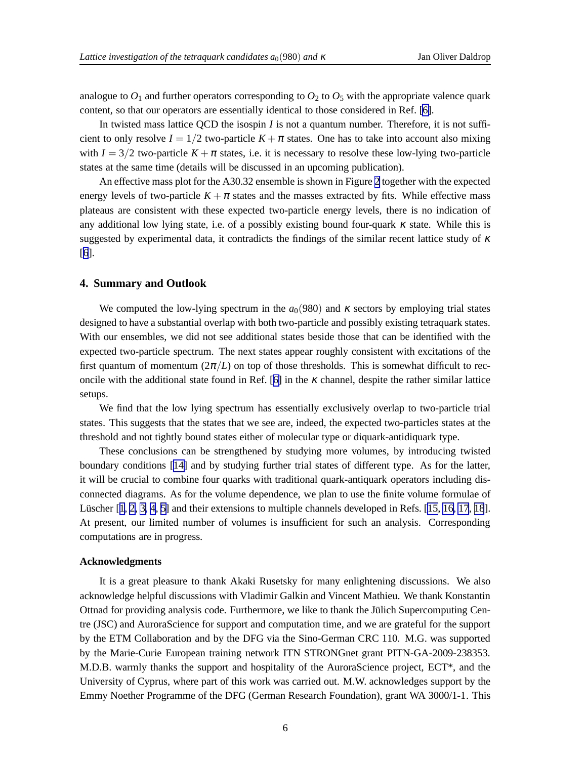analogue to  $O_1$  and further operators corresponding to  $O_2$  to  $O_5$  with the appropriate valence quark content, so that our operators are essentially identical to those considered in Ref. [\[6\]](#page-6-0).

In twisted mass lattice QCD the isospin *I* is not a quantum number. Therefore, it is not sufficient to only resolve  $I = 1/2$  two-particle  $K + \pi$  states. One has to take into account also mixing with  $I = 3/2$  two-particle  $K + \pi$  states, i.e. it is necessary to resolve these low-lying two-particle states at the same time (details will be discussed in an upcoming publication).

An effective mass plot for the A30.32 ensemble is shown in Figure [2](#page-4-0) together with the expected energy levels of two-particle  $K + \pi$  states and the masses extracted by fits. While effective mass plateaus are consistent with these expected two-particle energy levels, there is no indication of any additional low lying state, i.e. of a possibly existing bound four-quark  $\kappa$  state. While this is suggested by experimental data, it contradicts the findings of the similar recent lattice study of  $\kappa$ [[6](#page-6-0)].

#### **4. Summary and Outlook**

We computed the low-lying spectrum in the  $a_0(980)$  and  $\kappa$  sectors by employing trial states designed to have a substantial overlap with both two-particle and possibly existing tetraquark states. With our ensembles, we did not see additional states beside those that can be identified with the expected two-particle spectrum. The next states appear roughly consistent with excitations of the first quantum of momentum  $(2\pi/L)$  on top of those thresholds. This is somewhat difficult to rec-oncile with the additional state found in Ref. [\[6\]](#page-6-0) in the  $\kappa$  channel, despite the rather similar lattice setups.

We find that the low lying spectrum has essentially exclusively overlap to two-particle trial states. This suggests that the states that we see are, indeed, the expected two-particles states at the threshold and not tightly bound states either of molecular type or diquark-antidiquark type.

These conclusions can be strengthened by studying more volumes, by introducing twisted boundary conditions [[14\]](#page-6-0) and by studying further trial states of different type. As for the latter, it will be crucial to combine four quarks with traditional quark-antiquark operators including disconnected diagrams. As for the volume dependence, we plan to use the finite volume formulae of Lüscher [[1](#page-6-0), [2, 3, 4](#page-6-0), [5](#page-6-0)] and their extensions to multiple channels developed in Refs. [\[15, 16](#page-6-0), [17](#page-6-0), [18](#page-6-0)]. At present, our limited number of volumes is insufficient for such an analysis. Corresponding computations are in progress.

#### **Acknowledgments**

It is a great pleasure to thank Akaki Rusetsky for many enlightening discussions. We also acknowledge helpful discussions with Vladimir Galkin and Vincent Mathieu. We thank Konstantin Ottnad for providing analysis code. Furthermore, we like to thank the Jülich Supercomputing Centre (JSC) and AuroraScience for support and computation time, and we are grateful for the support by the ETM Collaboration and by the DFG via the Sino-German CRC 110. M.G. was supported by the Marie-Curie European training network ITN STRONGnet grant PITN-GA-2009-238353. M.D.B. warmly thanks the support and hospitality of the AuroraScience project, ECT\*, and the University of Cyprus, where part of this work was carried out. M.W. acknowledges support by the Emmy Noether Programme of the DFG (German Research Foundation), grant WA 3000/1-1. This